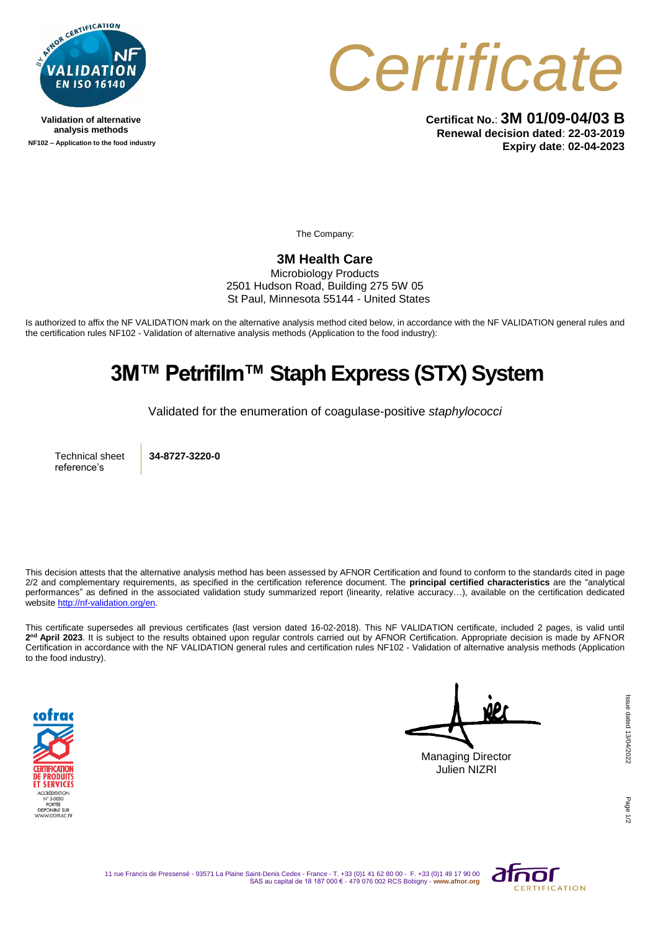

**Validation of alternative analysis methods NF102 – Application to the food industry**



**Certificat No.**: **3M 01/09-04/03 B Renewal decision dated**: **22-03-2019 Expiry date**: **02-04-2023**

The Company:

## **3M Health Care**

Microbiology Products 2501 Hudson Road, Building 275 5W 05 St Paul, Minnesota 55144 - United States

Is authorized to affix the NF VALIDATION mark on the alternative analysis method cited below, in accordance with the NF VALIDATION general rules and the certification rules NF102 - Validation of alternative analysis methods (Application to the food industry):

## **3M™ Petrifilm™ Staph Express (STX) System**

Validated for the enumeration of coagulase-positive *staphylococci*

Technical sheet reference's

**34-8727-3220-0**

This decision attests that the alternative analysis method has been assessed by AFNOR Certification and found to conform to the standards cited in page 2/2 and complementary requirements, as specified in the certification reference document. The **principal certified characteristics** are the "analytical performances" as defined in the associated validation study summarized report (linearity, relative accuracy…), available on the certification dedicated websit[e http://nf-validation.org/en.](http://nf-validation.org/en)

This certificate supersedes all previous certificates (last version dated 16-02-2018). This NF VALIDATION certificate, included 2 pages, is valid until **2 nd April 2023**. It is subject to the results obtained upon regular controls carried out by AFNOR Certification. Appropriate decision is made by AFNOR Certification in accordance with the NF VALIDATION general rules and certification rules NF102 - Validation of alternative analysis methods (Application to the food industry).



Managing Director Julien NIZRI

Page